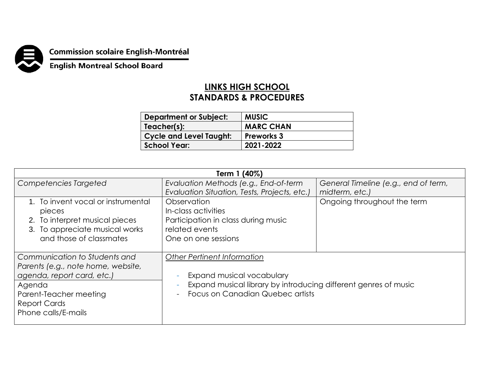

## **Commission scolaire English-Montréal<br>English Montreal School Board**

## **LINKS HIGH SCHOOL STANDARDS & PROCEDURES**

| <b>Department or Subject:</b>  | <b>MUSIC</b>      |
|--------------------------------|-------------------|
| Teacher(s):                    | <b>MARC CHAN</b>  |
| <b>Cycle and Level Taught:</b> | <b>Preworks 3</b> |
| <b>School Year:</b>            | 2021-2022         |

| Term 1 (40%)                       |                                                                                                                                  |                                      |  |
|------------------------------------|----------------------------------------------------------------------------------------------------------------------------------|--------------------------------------|--|
| Competencies Targeted              | Evaluation Methods (e.g., End-of-term                                                                                            | General Timeline (e.g., end of term, |  |
|                                    | Evaluation Situation, Tests, Projects, etc.)                                                                                     | midterm, etc.)                       |  |
| 1. To invent vocal or instrumental | Observation                                                                                                                      | Ongoing throughout the term          |  |
| pieces                             | In-class activities                                                                                                              |                                      |  |
| 2. To interpret musical pieces     | Participation in class during music                                                                                              |                                      |  |
| 3. To appreciate musical works     | related events                                                                                                                   |                                      |  |
| and those of classmates            | One on one sessions                                                                                                              |                                      |  |
|                                    |                                                                                                                                  |                                      |  |
| Communication to Students and      | <b>Other Pertinent Information</b>                                                                                               |                                      |  |
| Parents (e.g., note home, website, |                                                                                                                                  |                                      |  |
| agenda, report card, etc.)         | Expand musical vocabulary<br>Expand musical library by introducing different genres of music<br>Focus on Canadian Quebec artists |                                      |  |
| Agenda                             |                                                                                                                                  |                                      |  |
| Parent-Teacher meeting             |                                                                                                                                  |                                      |  |
| <b>Report Cards</b>                |                                                                                                                                  |                                      |  |
| Phone calls/E-mails                |                                                                                                                                  |                                      |  |
|                                    |                                                                                                                                  |                                      |  |